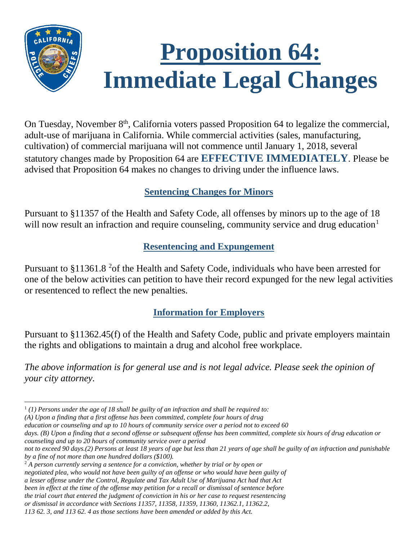# **Proposition 64: Immediate Legal Changes**

On Tuesday, November 8<sup>th</sup>, California voters passed Proposition 64 to legalize the commercial, adult-use of marijuana in California. While commercial activities (sales, manufacturing, cultivation) of commercial marijuana will not commence until January 1, 2018, several statutory changes made by Proposition 64 are **EFFECTIVE IMMEDIATELY**. Please be advised that Proposition 64 makes no changes to driving under the influence laws.

## **Sentencing Changes for Minors**

Pursuant to §11357 of the Health and Safety Code, all offenses by minors up to the age of 18 will now result an infraction and require counseling, community service and drug education<sup>[1](#page-0-0)</sup>

#### **Resentencing and Expungement**

Pursuant to §11361.8 <sup>[2](#page-0-1)</sup> of the Health and Safety Code, individuals who have been arrested for one of the below activities can petition to have their record expunged for the new legal activities or resentenced to reflect the new penalties.

## **Information for Employers**

Pursuant to §11362.45(f) of the Health and Safety Code, public and private employers maintain the rights and obligations to maintain a drug and alcohol free workplace.

*The above information is for general use and is not legal advice. Please seek the opinion of your city attorney.*

<span id="page-0-0"></span>*(A) Upon a finding that a first offense has been committed, complete four hours of drug*

*education or counseling and up to 10 hours of community service over a period not to exceed 60*

<span id="page-0-1"></span><sup>2</sup> *A person currently serving a sentence for a conviction, whether by trial or by open or negotiated plea, who would not have been guilty of an offense or who would have been guilty of a lesser offense under the Control, Regulate and Tax Adult Use of Marijuana Act had that Act been in effect at the time of the offense may petition for a recall or dismissal of sentence before the trial court that entered the judgment of conviction in his or her case to request resentencing or dismissal in accordance with Sections 11357, 11358, 11359, 11360, 11362.1, 11362.2, 113 62. 3, and 113 62. 4 as those sections have been amended or added by this Act.*

l <sup>1</sup> *(1) Persons under the age of 18 shall be guilty of an infraction and shall be required to:*

*days. (B) Upon a finding that a second offense or subsequent offense has been committed, complete six hours of drug education or counseling and up to 20 hours of community service over a period*

*not to exceed 90 days.(2) Persons at least 18 years of age but less than 21 years of age shall be guilty of an infraction and punishable by a fine of not more than one hundred dollars (\$100).*